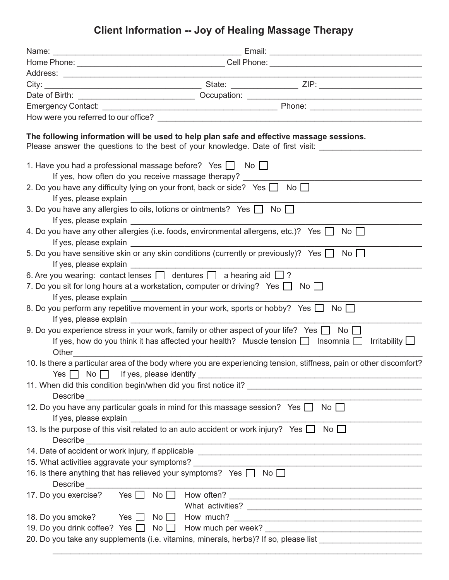## **Client Information -- Joy of Healing Massage Therapy**

|                   | The following information will be used to help plan safe and effective massage sessions.<br>Please answer the questions to the best of your knowledge. Date of first visit: ________                                                                                                                                                  |  |  |
|-------------------|---------------------------------------------------------------------------------------------------------------------------------------------------------------------------------------------------------------------------------------------------------------------------------------------------------------------------------------|--|--|
|                   | 1. Have you had a professional massage before? Yes $\Box$ No $\Box$                                                                                                                                                                                                                                                                   |  |  |
|                   | If yes, how often do you receive massage therapy?                                                                                                                                                                                                                                                                                     |  |  |
|                   | 2. Do you have any difficulty lying on your front, back or side? Yes $\Box$ No $\Box$                                                                                                                                                                                                                                                 |  |  |
|                   |                                                                                                                                                                                                                                                                                                                                       |  |  |
|                   | 3. Do you have any allergies to oils, lotions or ointments? Yes $\Box$ No $\Box$                                                                                                                                                                                                                                                      |  |  |
|                   |                                                                                                                                                                                                                                                                                                                                       |  |  |
|                   | 4. Do you have any other allergies (i.e. foods, environmental allergens, etc.)? Yes $\Box$ No $\Box$                                                                                                                                                                                                                                  |  |  |
|                   | If yes, please explain <b>Figure 2014</b>                                                                                                                                                                                                                                                                                             |  |  |
|                   | 5. Do you have sensitive skin or any skin conditions (currently or previously)? Yes $\Box$ No $\Box$                                                                                                                                                                                                                                  |  |  |
|                   |                                                                                                                                                                                                                                                                                                                                       |  |  |
|                   | 6. Are you wearing: contact lenses $\Box$ dentures $\Box$ a hearing aid $\Box$ ?                                                                                                                                                                                                                                                      |  |  |
|                   | 7. Do you sit for long hours at a workstation, computer or driving? Yes $\Box$ No $\Box$                                                                                                                                                                                                                                              |  |  |
|                   |                                                                                                                                                                                                                                                                                                                                       |  |  |
|                   | 8. Do you perform any repetitive movement in your work, sports or hobby? Yes $\Box$ No $\Box$<br>If yes, please explain <b>the contract of the set of the contract of the contract of the contract of the contract of the contract of the contract of the contract of the contract of the contract of the contract of the contrac</b> |  |  |
|                   | 9. Do you experience stress in your work, family or other aspect of your life? Yes $\Box$ No $\Box$                                                                                                                                                                                                                                   |  |  |
|                   | If yes, how do you think it has affected your health? Muscle tension $\Box$ Insomnia $\Box$ Irritability $\Box$                                                                                                                                                                                                                       |  |  |
|                   |                                                                                                                                                                                                                                                                                                                                       |  |  |
|                   | 10. Is there a particular area of the body where you are experiencing tension, stiffness, pain or other discomfort?                                                                                                                                                                                                                   |  |  |
|                   | <u> 1989 - Johann John Stoff, deutscher Stoffen und der Stoffen und der Stoffen und der Stoffen und der Stoffen u</u>                                                                                                                                                                                                                 |  |  |
|                   | 11. When did this condition begin/when did you first notice it?                                                                                                                                                                                                                                                                       |  |  |
| Describe          |                                                                                                                                                                                                                                                                                                                                       |  |  |
|                   | 12. Do you have any particular goals in mind for this massage session? Yes $\Box$ No $\Box$                                                                                                                                                                                                                                           |  |  |
|                   |                                                                                                                                                                                                                                                                                                                                       |  |  |
|                   | 13. Is the purpose of this visit related to an auto accident or work injury? Yes $\Box$<br>No                                                                                                                                                                                                                                         |  |  |
| Describe          | <u> 1989 - Jan Samuel Barbara, margaret eta biztanleria (h. 1989).</u>                                                                                                                                                                                                                                                                |  |  |
|                   |                                                                                                                                                                                                                                                                                                                                       |  |  |
|                   | 15. What activities aggravate your symptoms?                                                                                                                                                                                                                                                                                          |  |  |
|                   | 16. Is there anything that has relieved your symptoms? Yes $\Box$ No $\Box$                                                                                                                                                                                                                                                           |  |  |
| Describe          | <u> 1989 - Johann Barbara, margaret eta industrial eta industrial eta industrial eta industrial eta industrial e</u>                                                                                                                                                                                                                  |  |  |
|                   |                                                                                                                                                                                                                                                                                                                                       |  |  |
|                   |                                                                                                                                                                                                                                                                                                                                       |  |  |
| 18. Do you smoke? | Yes $\Box$                                                                                                                                                                                                                                                                                                                            |  |  |
|                   | 19. Do you drink coffee? Yes   No   How much per week? _________________________                                                                                                                                                                                                                                                      |  |  |
|                   | 20. Do you take any supplements (i.e. vitamins, minerals, herbs)? If so, please list                                                                                                                                                                                                                                                  |  |  |

\_\_\_\_\_\_\_\_\_\_\_\_\_\_\_\_\_\_\_\_\_\_\_\_\_\_\_\_\_\_\_\_\_\_\_\_\_\_\_\_\_\_\_\_\_\_\_\_\_\_\_\_\_\_\_\_\_\_\_\_\_\_\_\_\_\_\_\_\_\_\_\_\_\_\_\_\_\_\_\_\_\_\_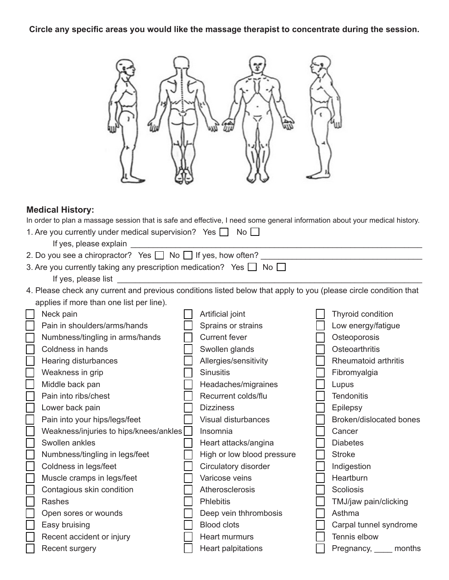**Circle any specific areas you would like the massage therapist to concentrate during the session.**

| <b>Medical History:</b>                                                                                                    |  |                            |  |                             |  |  |  |
|----------------------------------------------------------------------------------------------------------------------------|--|----------------------------|--|-----------------------------|--|--|--|
| In order to plan a massage session that is safe and effective, I need some general information about your medical history. |  |                            |  |                             |  |  |  |
| 1. Are you currently under medical supervision? Yes $\Box$ No $\Box$                                                       |  |                            |  |                             |  |  |  |
| If yes, please explain                                                                                                     |  |                            |  |                             |  |  |  |
| 2. Do you see a chiropractor? Yes   No   If yes, how often?                                                                |  |                            |  |                             |  |  |  |
| 3. Are you currently taking any prescription medication? Yes $\Box$ No $\Box$                                              |  |                            |  |                             |  |  |  |
| If yes, please list                                                                                                        |  |                            |  |                             |  |  |  |
| 4. Please check any current and previous conditions listed below that apply to you (please circle condition that           |  |                            |  |                             |  |  |  |
| applies if more than one list per line).                                                                                   |  |                            |  |                             |  |  |  |
| Neck pain                                                                                                                  |  | Artificial joint           |  | Thyroid condition           |  |  |  |
| Pain in shoulders/arms/hands                                                                                               |  | Sprains or strains         |  | Low energy/fatigue          |  |  |  |
| Numbness/tingling in arms/hands                                                                                            |  | <b>Current fever</b>       |  | Osteoporosis                |  |  |  |
| Coldness in hands                                                                                                          |  | Swollen glands             |  | Osteoarthritis              |  |  |  |
| Hearing disturbances                                                                                                       |  | Allergies/sensitivity      |  | Rheumatoid arthritis        |  |  |  |
| Weakness in grip                                                                                                           |  | <b>Sinusitis</b>           |  | Fibromyalgia                |  |  |  |
| Middle back pan                                                                                                            |  | Headaches/migraines        |  | Lupus                       |  |  |  |
| Pain into ribs/chest                                                                                                       |  | Recurrent colds/flu        |  | <b>Tendonitis</b>           |  |  |  |
| Lower back pain                                                                                                            |  | <b>Dizziness</b>           |  | Epilepsy                    |  |  |  |
| Pain into your hips/legs/feet                                                                                              |  | Visual disturbances        |  | Broken/dislocated bones     |  |  |  |
| Weakness/injuries to hips/knees/ankles                                                                                     |  | Insomnia                   |  | Cancer                      |  |  |  |
| Swollen ankles                                                                                                             |  | Heart attacks/angina       |  | <b>Diabetes</b>             |  |  |  |
| Numbness/tingling in legs/feet                                                                                             |  | High or low blood pressure |  | <b>Stroke</b>               |  |  |  |
| Coldness in legs/feet                                                                                                      |  | Circulatory disorder       |  | Indigestion                 |  |  |  |
| Muscle cramps in legs/feet                                                                                                 |  | Varicose veins             |  | Heartburn                   |  |  |  |
| Contagious skin condition                                                                                                  |  | Atherosclerosis            |  | <b>Scoliosis</b>            |  |  |  |
| Rashes                                                                                                                     |  | Phlebitis                  |  | TMJ/jaw pain/clicking       |  |  |  |
| Open sores or wounds                                                                                                       |  | Deep vein thhrombosis      |  | Asthma                      |  |  |  |
| Easy bruising                                                                                                              |  | <b>Blood clots</b>         |  | Carpal tunnel syndrome      |  |  |  |
| Recent accident or injury                                                                                                  |  | <b>Heart murmurs</b>       |  | Tennis elbow                |  |  |  |
| Recent surgery                                                                                                             |  | Heart palpitations         |  | Pregnancy, <u>__</u> months |  |  |  |